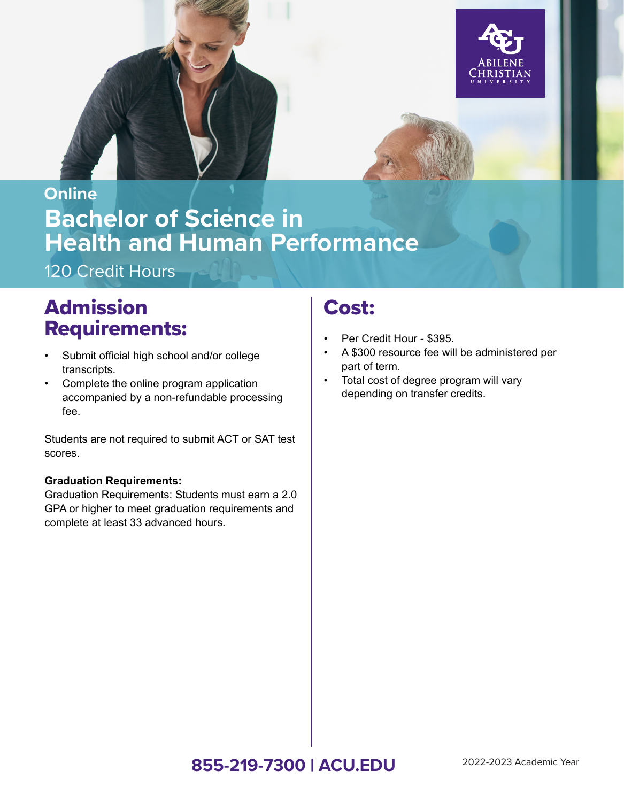



# **Bachelor of Science in Health and Human Performance Online**

120 Credit Hours

# Admission Requirements:

- Submit official high school and/or college transcripts.
- Complete the online program application accompanied by a non-refundable processing fee.

Students are not required to submit ACT or SAT test scores.

#### **Graduation Requirements:**

Graduation Requirements: Students must earn a 2.0 GPA or higher to meet graduation requirements and complete at least 33 advanced hours.

### Cost:

- Per Credit Hour \$395.
- A \$300 resource fee will be administered per part of term.
- Total cost of degree program will vary depending on transfer credits.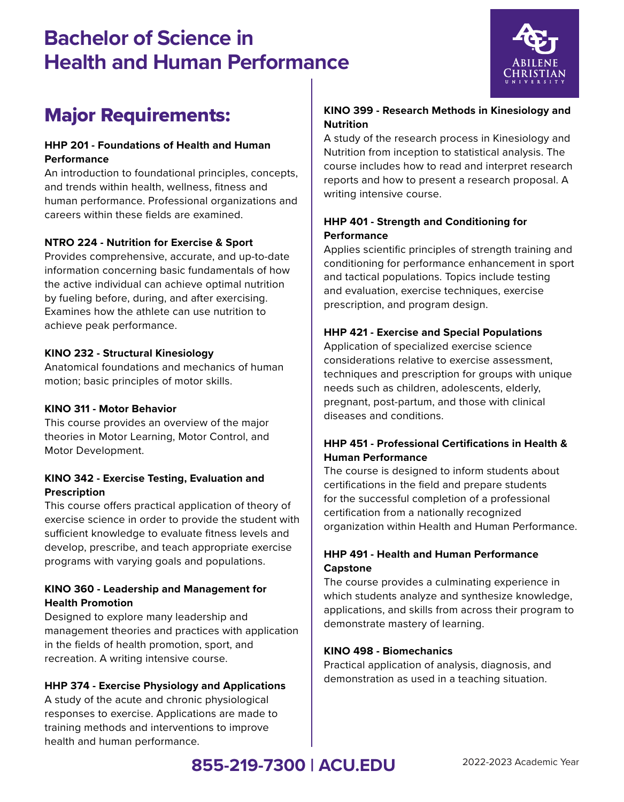## **Bachelor of Science in Health and Human Performance**



### Major Requirements:

#### **HHP 201 - Foundations of Health and Human Performance**

An introduction to foundational principles, concepts, and trends within health, wellness, fitness and human performance. Professional organizations and careers within these fields are examined.

#### **NTRO 224 - Nutrition for Exercise & Sport**

Provides comprehensive, accurate, and up-to-date information concerning basic fundamentals of how the active individual can achieve optimal nutrition by fueling before, during, and after exercising. Examines how the athlete can use nutrition to achieve peak performance.

#### **KINO 232 - Structural Kinesiology**

Anatomical foundations and mechanics of human motion; basic principles of motor skills.

#### **KINO 311 - Motor Behavior**

This course provides an overview of the major theories in Motor Learning, Motor Control, and Motor Development.

#### **KINO 342 - Exercise Testing, Evaluation and Prescription**

This course offers practical application of theory of exercise science in order to provide the student with sufficient knowledge to evaluate fitness levels and develop, prescribe, and teach appropriate exercise programs with varying goals and populations.

#### **KINO 360 - Leadership and Management for Health Promotion**

Designed to explore many leadership and management theories and practices with application in the fields of health promotion, sport, and recreation. A writing intensive course.

#### **HHP 374 - Exercise Physiology and Applications**

A study of the acute and chronic physiological responses to exercise. Applications are made to training methods and interventions to improve health and human performance.

#### **KINO 399 - Research Methods in Kinesiology and Nutrition**

A study of the research process in Kinesiology and Nutrition from inception to statistical analysis. The course includes how to read and interpret research reports and how to present a research proposal. A writing intensive course.

#### **HHP 401 - Strength and Conditioning for Performance**

Applies scientific principles of strength training and conditioning for performance enhancement in sport and tactical populations. Topics include testing and evaluation, exercise techniques, exercise prescription, and program design.

#### **HHP 421 - Exercise and Special Populations**

Application of specialized exercise science considerations relative to exercise assessment, techniques and prescription for groups with unique needs such as children, adolescents, elderly, pregnant, post-partum, and those with clinical diseases and conditions.

#### **HHP 451 - Professional Certifications in Health & Human Performance**

The course is designed to inform students about certifications in the field and prepare students for the successful completion of a professional certification from a nationally recognized organization within Health and Human Performance.

#### **HHP 491 - Health and Human Performance Capstone**

The course provides a culminating experience in which students analyze and synthesize knowledge, applications, and skills from across their program to demonstrate mastery of learning.

#### **KINO 498 - Biomechanics**

Practical application of analysis, diagnosis, and demonstration as used in a teaching situation.

### **855-219-7300 | ACU.EDU** 2022-2023 Academic Year